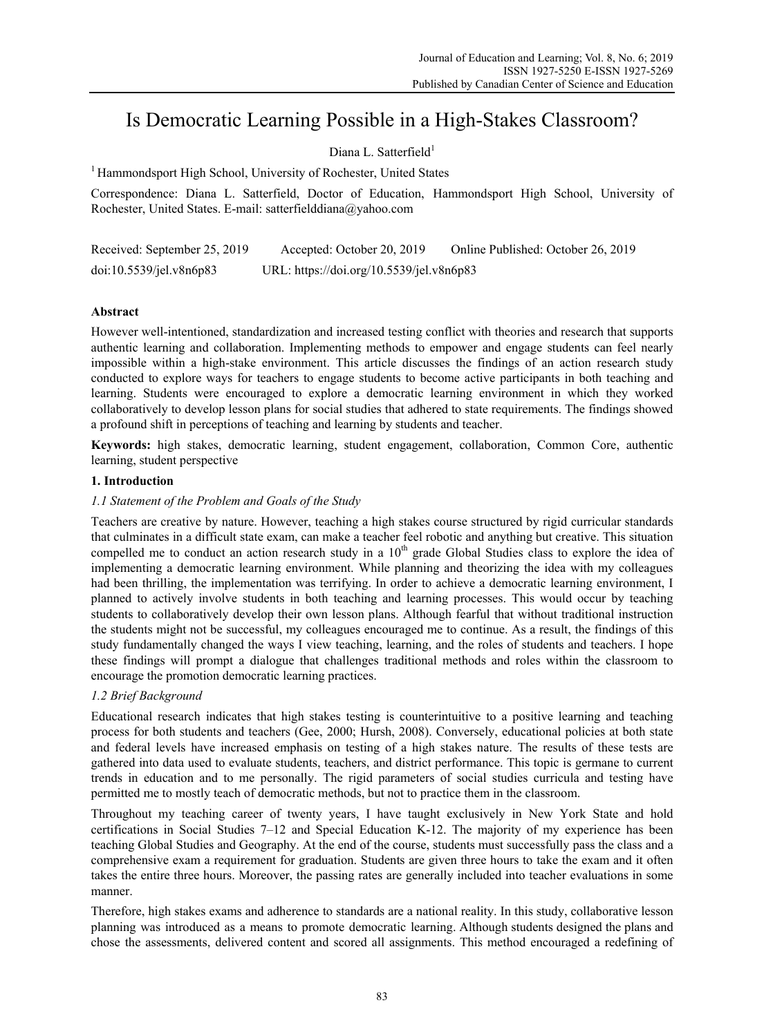# Is Democratic Learning Possible in a High-Stakes Classroom?

# Diana L. Satterfield<sup>1</sup>

<sup>1</sup> Hammondsport High School, University of Rochester, United States

Correspondence: Diana L. Satterfield, Doctor of Education, Hammondsport High School, University of Rochester, United States. E-mail: satterfielddiana@yahoo.com

| Received: September 25, 2019 | Accepted: October 20, 2019               | Online Published: October 26, 2019 |
|------------------------------|------------------------------------------|------------------------------------|
| doi:10.5539/je1.v8n6p83      | URL: https://doi.org/10.5539/jel.v8n6p83 |                                    |

# **Abstract**

However well-intentioned, standardization and increased testing conflict with theories and research that supports authentic learning and collaboration. Implementing methods to empower and engage students can feel nearly impossible within a high-stake environment. This article discusses the findings of an action research study conducted to explore ways for teachers to engage students to become active participants in both teaching and learning. Students were encouraged to explore a democratic learning environment in which they worked collaboratively to develop lesson plans for social studies that adhered to state requirements. The findings showed a profound shift in perceptions of teaching and learning by students and teacher.

**Keywords:** high stakes, democratic learning, student engagement, collaboration, Common Core, authentic learning, student perspective

# **1. Introduction**

# *1.1 Statement of the Problem and Goals of the Study*

Teachers are creative by nature. However, teaching a high stakes course structured by rigid curricular standards that culminates in a difficult state exam, can make a teacher feel robotic and anything but creative. This situation compelled me to conduct an action research study in a 10<sup>th</sup> grade Global Studies class to explore the idea of implementing a democratic learning environment. While planning and theorizing the idea with my colleagues had been thrilling, the implementation was terrifying. In order to achieve a democratic learning environment, I planned to actively involve students in both teaching and learning processes. This would occur by teaching students to collaboratively develop their own lesson plans. Although fearful that without traditional instruction the students might not be successful, my colleagues encouraged me to continue. As a result, the findings of this study fundamentally changed the ways I view teaching, learning, and the roles of students and teachers. I hope these findings will prompt a dialogue that challenges traditional methods and roles within the classroom to encourage the promotion democratic learning practices.

# *1.2 Brief Background*

Educational research indicates that high stakes testing is counterintuitive to a positive learning and teaching process for both students and teachers (Gee, 2000; Hursh, 2008). Conversely, educational policies at both state and federal levels have increased emphasis on testing of a high stakes nature. The results of these tests are gathered into data used to evaluate students, teachers, and district performance. This topic is germane to current trends in education and to me personally. The rigid parameters of social studies curricula and testing have permitted me to mostly teach of democratic methods, but not to practice them in the classroom.

Throughout my teaching career of twenty years, I have taught exclusively in New York State and hold certifications in Social Studies 7–12 and Special Education K-12. The majority of my experience has been teaching Global Studies and Geography. At the end of the course, students must successfully pass the class and a comprehensive exam a requirement for graduation. Students are given three hours to take the exam and it often takes the entire three hours. Moreover, the passing rates are generally included into teacher evaluations in some manner.

Therefore, high stakes exams and adherence to standards are a national reality. In this study, collaborative lesson planning was introduced as a means to promote democratic learning. Although students designed the plans and chose the assessments, delivered content and scored all assignments. This method encouraged a redefining of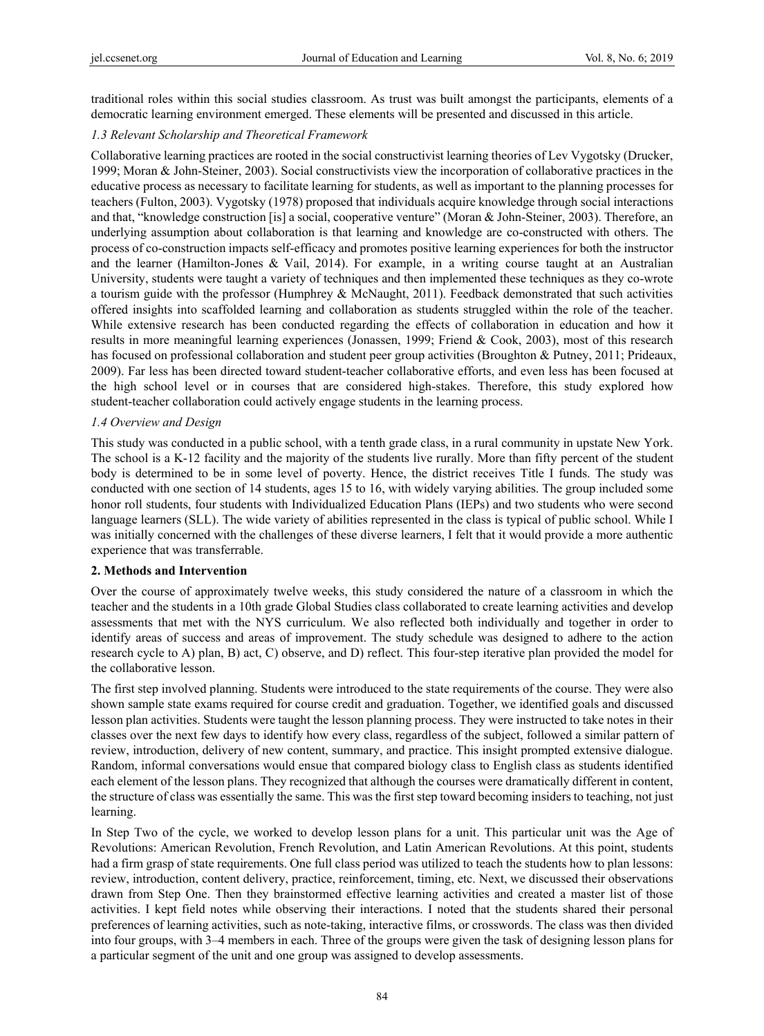traditional roles within this social studies classroom. As trust was built amongst the participants, elements of a democratic learning environment emerged. These elements will be presented and discussed in this article.

# *1.3 Relevant Scholarship and Theoretical Framework*

Collaborative learning practices are rooted in the social constructivist learning theories of Lev Vygotsky (Drucker, 1999; Moran & John-Steiner, 2003). Social constructivists view the incorporation of collaborative practices in the educative process as necessary to facilitate learning for students, as well as important to the planning processes for teachers (Fulton, 2003). Vygotsky (1978) proposed that individuals acquire knowledge through social interactions and that, "knowledge construction [is] a social, cooperative venture" (Moran & John-Steiner, 2003). Therefore, an underlying assumption about collaboration is that learning and knowledge are co-constructed with others. The process of co-construction impacts self-efficacy and promotes positive learning experiences for both the instructor and the learner (Hamilton-Jones & Vail, 2014). For example, in a writing course taught at an Australian University, students were taught a variety of techniques and then implemented these techniques as they co-wrote a tourism guide with the professor (Humphrey & McNaught, 2011). Feedback demonstrated that such activities offered insights into scaffolded learning and collaboration as students struggled within the role of the teacher. While extensive research has been conducted regarding the effects of collaboration in education and how it results in more meaningful learning experiences (Jonassen, 1999; Friend & Cook, 2003), most of this research has focused on professional collaboration and student peer group activities (Broughton & Putney, 2011; Prideaux, 2009). Far less has been directed toward student-teacher collaborative efforts, and even less has been focused at the high school level or in courses that are considered high-stakes. Therefore, this study explored how student-teacher collaboration could actively engage students in the learning process.

# *1.4 Overview and Design*

This study was conducted in a public school, with a tenth grade class, in a rural community in upstate New York. The school is a K-12 facility and the majority of the students live rurally. More than fifty percent of the student body is determined to be in some level of poverty. Hence, the district receives Title I funds. The study was conducted with one section of 14 students, ages 15 to 16, with widely varying abilities. The group included some honor roll students, four students with Individualized Education Plans (IEPs) and two students who were second language learners (SLL). The wide variety of abilities represented in the class is typical of public school. While I was initially concerned with the challenges of these diverse learners, I felt that it would provide a more authentic experience that was transferrable.

## **2. Methods and Intervention**

Over the course of approximately twelve weeks, this study considered the nature of a classroom in which the teacher and the students in a 10th grade Global Studies class collaborated to create learning activities and develop assessments that met with the NYS curriculum. We also reflected both individually and together in order to identify areas of success and areas of improvement. The study schedule was designed to adhere to the action research cycle to A) plan, B) act, C) observe, and D) reflect. This four-step iterative plan provided the model for the collaborative lesson.

The first step involved planning. Students were introduced to the state requirements of the course. They were also shown sample state exams required for course credit and graduation. Together, we identified goals and discussed lesson plan activities. Students were taught the lesson planning process. They were instructed to take notes in their classes over the next few days to identify how every class, regardless of the subject, followed a similar pattern of review, introduction, delivery of new content, summary, and practice. This insight prompted extensive dialogue. Random, informal conversations would ensue that compared biology class to English class as students identified each element of the lesson plans. They recognized that although the courses were dramatically different in content, the structure of class was essentially the same. This was the first step toward becoming insiders to teaching, not just learning.

In Step Two of the cycle, we worked to develop lesson plans for a unit. This particular unit was the Age of Revolutions: American Revolution, French Revolution, and Latin American Revolutions. At this point, students had a firm grasp of state requirements. One full class period was utilized to teach the students how to plan lessons: review, introduction, content delivery, practice, reinforcement, timing, etc. Next, we discussed their observations drawn from Step One. Then they brainstormed effective learning activities and created a master list of those activities. I kept field notes while observing their interactions. I noted that the students shared their personal preferences of learning activities, such as note-taking, interactive films, or crosswords. The class was then divided into four groups, with 3–4 members in each. Three of the groups were given the task of designing lesson plans for a particular segment of the unit and one group was assigned to develop assessments.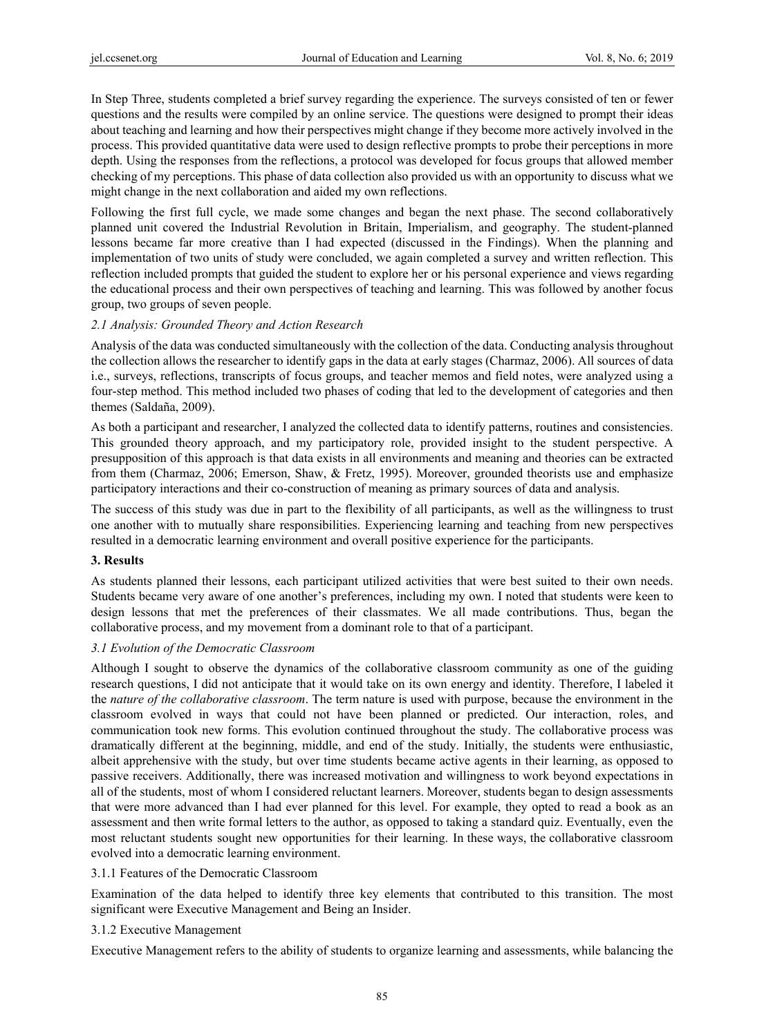In Step Three, students completed a brief survey regarding the experience. The surveys consisted of ten or fewer questions and the results were compiled by an online service. The questions were designed to prompt their ideas about teaching and learning and how their perspectives might change if they become more actively involved in the process. This provided quantitative data were used to design reflective prompts to probe their perceptions in more depth. Using the responses from the reflections, a protocol was developed for focus groups that allowed member checking of my perceptions. This phase of data collection also provided us with an opportunity to discuss what we might change in the next collaboration and aided my own reflections.

Following the first full cycle, we made some changes and began the next phase. The second collaboratively planned unit covered the Industrial Revolution in Britain, Imperialism, and geography. The student-planned lessons became far more creative than I had expected (discussed in the Findings). When the planning and implementation of two units of study were concluded, we again completed a survey and written reflection. This reflection included prompts that guided the student to explore her or his personal experience and views regarding the educational process and their own perspectives of teaching and learning. This was followed by another focus group, two groups of seven people.

## *2.1 Analysis: Grounded Theory and Action Research*

Analysis of the data was conducted simultaneously with the collection of the data. Conducting analysis throughout the collection allows the researcher to identify gaps in the data at early stages (Charmaz, 2006). All sources of data i.e., surveys, reflections, transcripts of focus groups, and teacher memos and field notes, were analyzed using a four-step method. This method included two phases of coding that led to the development of categories and then themes (Saldaña, 2009).

As both a participant and researcher, I analyzed the collected data to identify patterns, routines and consistencies. This grounded theory approach, and my participatory role, provided insight to the student perspective. A presupposition of this approach is that data exists in all environments and meaning and theories can be extracted from them (Charmaz, 2006; Emerson, Shaw, & Fretz, 1995). Moreover, grounded theorists use and emphasize participatory interactions and their co-construction of meaning as primary sources of data and analysis.

The success of this study was due in part to the flexibility of all participants, as well as the willingness to trust one another with to mutually share responsibilities. Experiencing learning and teaching from new perspectives resulted in a democratic learning environment and overall positive experience for the participants.

#### **3. Results**

As students planned their lessons, each participant utilized activities that were best suited to their own needs. Students became very aware of one another's preferences, including my own. I noted that students were keen to design lessons that met the preferences of their classmates. We all made contributions. Thus, began the collaborative process, and my movement from a dominant role to that of a participant.

## *3.1 Evolution of the Democratic Classroom*

Although I sought to observe the dynamics of the collaborative classroom community as one of the guiding research questions, I did not anticipate that it would take on its own energy and identity. Therefore, I labeled it the *nature of the collaborative classroom*. The term nature is used with purpose, because the environment in the classroom evolved in ways that could not have been planned or predicted. Our interaction, roles, and communication took new forms. This evolution continued throughout the study. The collaborative process was dramatically different at the beginning, middle, and end of the study. Initially, the students were enthusiastic, albeit apprehensive with the study, but over time students became active agents in their learning, as opposed to passive receivers. Additionally, there was increased motivation and willingness to work beyond expectations in all of the students, most of whom I considered reluctant learners. Moreover, students began to design assessments that were more advanced than I had ever planned for this level. For example, they opted to read a book as an assessment and then write formal letters to the author, as opposed to taking a standard quiz. Eventually, even the most reluctant students sought new opportunities for their learning. In these ways, the collaborative classroom evolved into a democratic learning environment.

#### 3.1.1 Features of the Democratic Classroom

Examination of the data helped to identify three key elements that contributed to this transition. The most significant were Executive Management and Being an Insider.

## 3.1.2 Executive Management

Executive Management refers to the ability of students to organize learning and assessments, while balancing the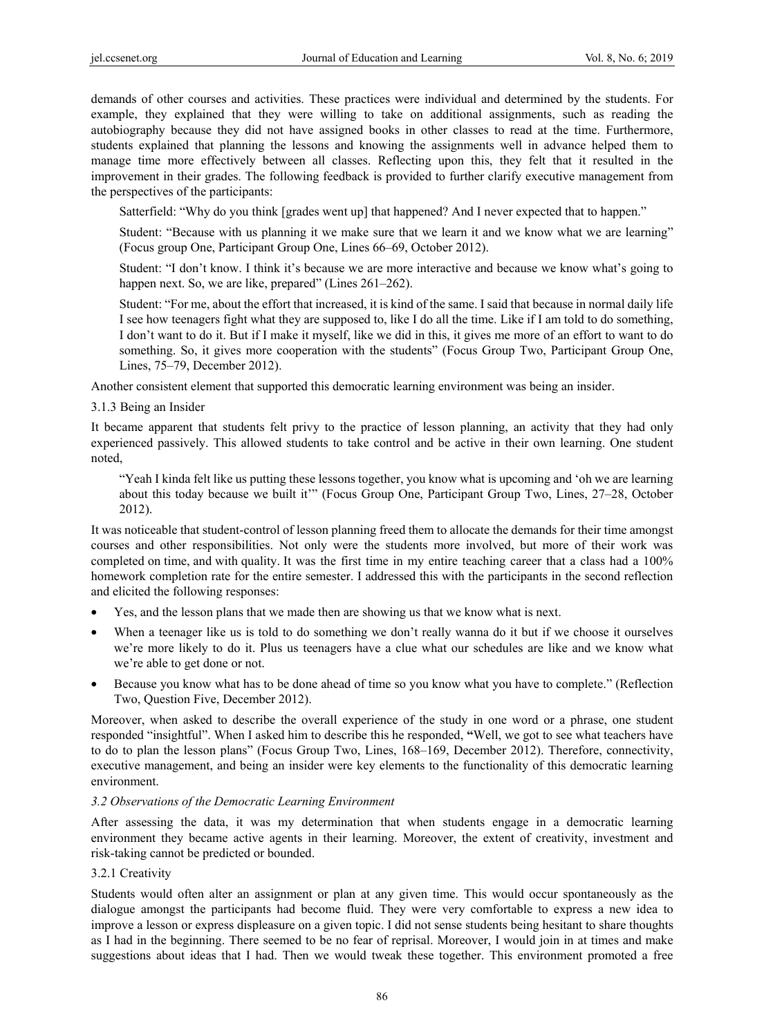demands of other courses and activities. These practices were individual and determined by the students. For example, they explained that they were willing to take on additional assignments, such as reading the autobiography because they did not have assigned books in other classes to read at the time. Furthermore, students explained that planning the lessons and knowing the assignments well in advance helped them to manage time more effectively between all classes. Reflecting upon this, they felt that it resulted in the improvement in their grades. The following feedback is provided to further clarify executive management from the perspectives of the participants:

Satterfield: "Why do you think [grades went up] that happened? And I never expected that to happen."

Student: "Because with us planning it we make sure that we learn it and we know what we are learning" (Focus group One, Participant Group One, Lines 66–69, October 2012).

Student: "I don't know. I think it's because we are more interactive and because we know what's going to happen next. So, we are like, prepared" (Lines 261–262).

Student: "For me, about the effort that increased, it is kind of the same. I said that because in normal daily life I see how teenagers fight what they are supposed to, like I do all the time. Like if I am told to do something, I don't want to do it. But if I make it myself, like we did in this, it gives me more of an effort to want to do something. So, it gives more cooperation with the students" (Focus Group Two, Participant Group One, Lines, 75–79, December 2012).

Another consistent element that supported this democratic learning environment was being an insider.

## 3.1.3 Being an Insider

It became apparent that students felt privy to the practice of lesson planning, an activity that they had only experienced passively. This allowed students to take control and be active in their own learning. One student noted,

"Yeah I kinda felt like us putting these lessons together, you know what is upcoming and 'oh we are learning about this today because we built it'" (Focus Group One, Participant Group Two, Lines, 27–28, October 2012).

It was noticeable that student-control of lesson planning freed them to allocate the demands for their time amongst courses and other responsibilities. Not only were the students more involved, but more of their work was completed on time, and with quality. It was the first time in my entire teaching career that a class had a 100% homework completion rate for the entire semester. I addressed this with the participants in the second reflection and elicited the following responses:

- Yes, and the lesson plans that we made then are showing us that we know what is next.
- When a teenager like us is told to do something we don't really wanna do it but if we choose it ourselves we're more likely to do it. Plus us teenagers have a clue what our schedules are like and we know what we're able to get done or not.
- Because you know what has to be done ahead of time so you know what you have to complete." (Reflection Two, Question Five, December 2012).

Moreover, when asked to describe the overall experience of the study in one word or a phrase, one student responded "insightful". When I asked him to describe this he responded, **"**Well, we got to see what teachers have to do to plan the lesson plans" (Focus Group Two, Lines, 168–169, December 2012). Therefore, connectivity, executive management, and being an insider were key elements to the functionality of this democratic learning environment.

## *3.2 Observations of the Democratic Learning Environment*

After assessing the data, it was my determination that when students engage in a democratic learning environment they became active agents in their learning. Moreover, the extent of creativity, investment and risk-taking cannot be predicted or bounded.

## 3.2.1 Creativity

Students would often alter an assignment or plan at any given time. This would occur spontaneously as the dialogue amongst the participants had become fluid. They were very comfortable to express a new idea to improve a lesson or express displeasure on a given topic. I did not sense students being hesitant to share thoughts as I had in the beginning. There seemed to be no fear of reprisal. Moreover, I would join in at times and make suggestions about ideas that I had. Then we would tweak these together. This environment promoted a free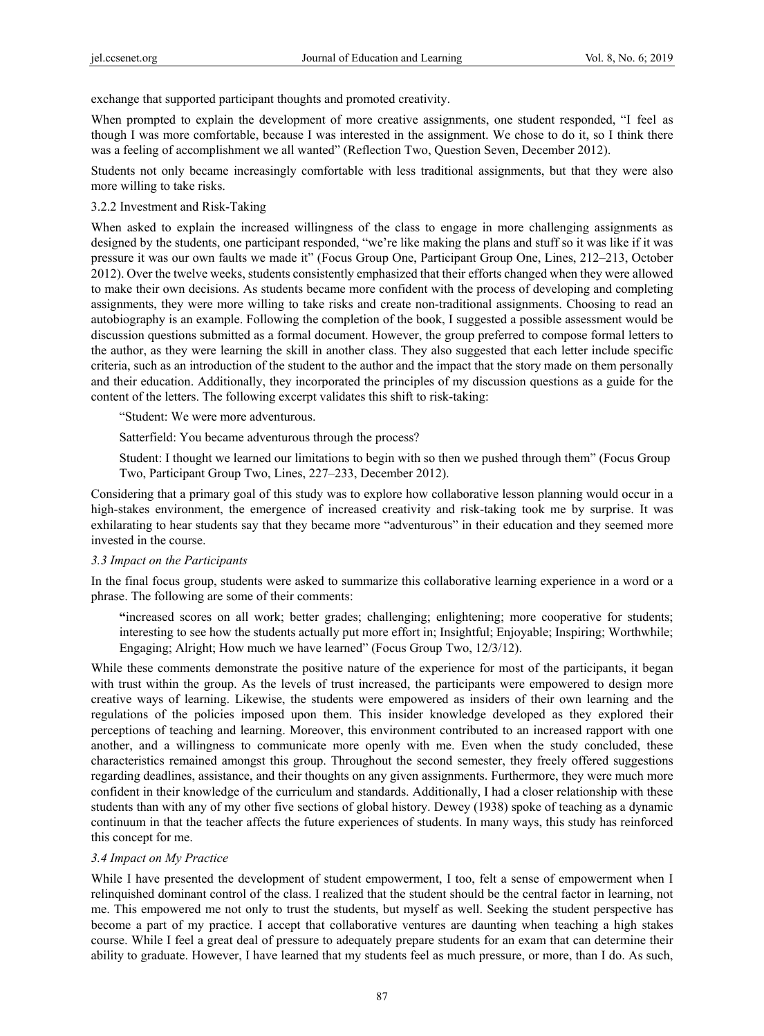exchange that supported participant thoughts and promoted creativity.

When prompted to explain the development of more creative assignments, one student responded, "I feel as though I was more comfortable, because I was interested in the assignment. We chose to do it, so I think there was a feeling of accomplishment we all wanted" (Reflection Two, Question Seven, December 2012).

Students not only became increasingly comfortable with less traditional assignments, but that they were also more willing to take risks.

#### 3.2.2 Investment and Risk-Taking

When asked to explain the increased willingness of the class to engage in more challenging assignments as designed by the students, one participant responded, "we're like making the plans and stuff so it was like if it was pressure it was our own faults we made it" (Focus Group One, Participant Group One, Lines, 212–213, October 2012). Over the twelve weeks, students consistently emphasized that their efforts changed when they were allowed to make their own decisions. As students became more confident with the process of developing and completing assignments, they were more willing to take risks and create non-traditional assignments. Choosing to read an autobiography is an example. Following the completion of the book, I suggested a possible assessment would be discussion questions submitted as a formal document. However, the group preferred to compose formal letters to the author, as they were learning the skill in another class. They also suggested that each letter include specific criteria, such as an introduction of the student to the author and the impact that the story made on them personally and their education. Additionally, they incorporated the principles of my discussion questions as a guide for the content of the letters. The following excerpt validates this shift to risk-taking:

"Student: We were more adventurous.

Satterfield: You became adventurous through the process?

Student: I thought we learned our limitations to begin with so then we pushed through them" (Focus Group Two, Participant Group Two, Lines, 227–233, December 2012).

Considering that a primary goal of this study was to explore how collaborative lesson planning would occur in a high-stakes environment, the emergence of increased creativity and risk-taking took me by surprise. It was exhilarating to hear students say that they became more "adventurous" in their education and they seemed more invested in the course.

#### *3.3 Impact on the Participants*

In the final focus group, students were asked to summarize this collaborative learning experience in a word or a phrase. The following are some of their comments:

**"**increased scores on all work; better grades; challenging; enlightening; more cooperative for students; interesting to see how the students actually put more effort in; Insightful; Enjoyable; Inspiring; Worthwhile; Engaging; Alright; How much we have learned" (Focus Group Two, 12/3/12).

While these comments demonstrate the positive nature of the experience for most of the participants, it began with trust within the group. As the levels of trust increased, the participants were empowered to design more creative ways of learning. Likewise, the students were empowered as insiders of their own learning and the regulations of the policies imposed upon them. This insider knowledge developed as they explored their perceptions of teaching and learning. Moreover, this environment contributed to an increased rapport with one another, and a willingness to communicate more openly with me. Even when the study concluded, these characteristics remained amongst this group. Throughout the second semester, they freely offered suggestions regarding deadlines, assistance, and their thoughts on any given assignments. Furthermore, they were much more confident in their knowledge of the curriculum and standards. Additionally, I had a closer relationship with these students than with any of my other five sections of global history. Dewey (1938) spoke of teaching as a dynamic continuum in that the teacher affects the future experiences of students. In many ways, this study has reinforced this concept for me.

## *3.4 Impact on My Practice*

While I have presented the development of student empowerment, I too, felt a sense of empowerment when I relinquished dominant control of the class. I realized that the student should be the central factor in learning, not me. This empowered me not only to trust the students, but myself as well. Seeking the student perspective has become a part of my practice. I accept that collaborative ventures are daunting when teaching a high stakes course. While I feel a great deal of pressure to adequately prepare students for an exam that can determine their ability to graduate. However, I have learned that my students feel as much pressure, or more, than I do. As such,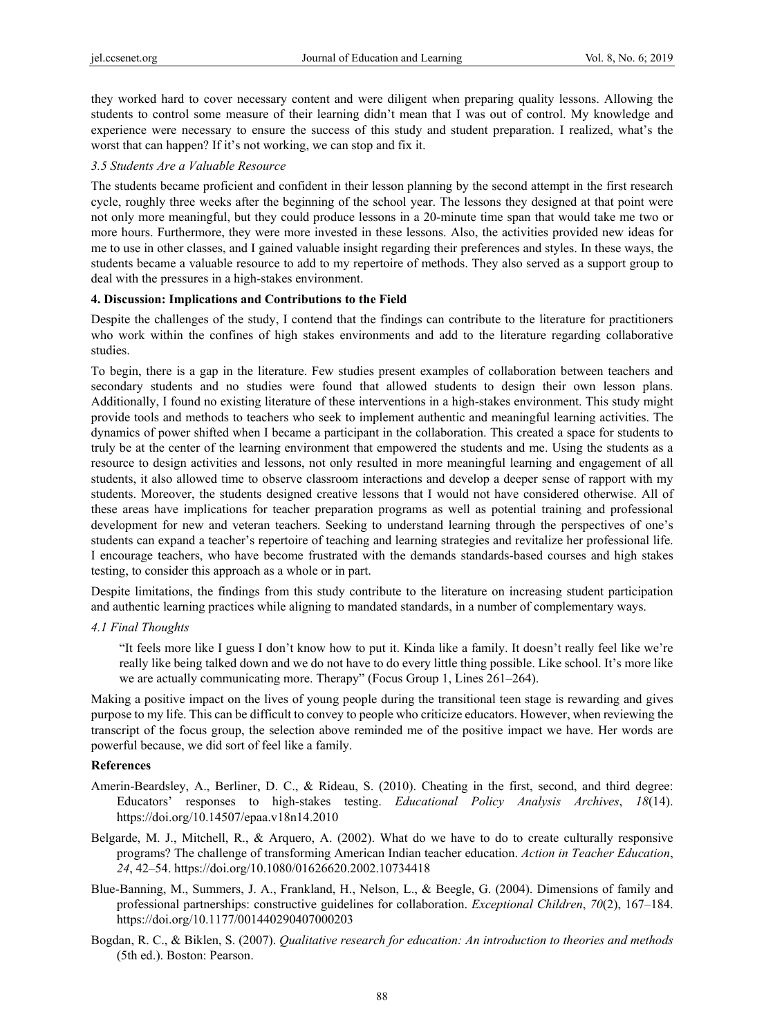they worked hard to cover necessary content and were diligent when preparing quality lessons. Allowing the students to control some measure of their learning didn't mean that I was out of control. My knowledge and experience were necessary to ensure the success of this study and student preparation. I realized, what's the worst that can happen? If it's not working, we can stop and fix it.

#### *3.5 Students Are a Valuable Resource*

The students became proficient and confident in their lesson planning by the second attempt in the first research cycle, roughly three weeks after the beginning of the school year. The lessons they designed at that point were not only more meaningful, but they could produce lessons in a 20-minute time span that would take me two or more hours. Furthermore, they were more invested in these lessons. Also, the activities provided new ideas for me to use in other classes, and I gained valuable insight regarding their preferences and styles. In these ways, the students became a valuable resource to add to my repertoire of methods. They also served as a support group to deal with the pressures in a high-stakes environment.

#### **4. Discussion: Implications and Contributions to the Field**

Despite the challenges of the study, I contend that the findings can contribute to the literature for practitioners who work within the confines of high stakes environments and add to the literature regarding collaborative studies.

To begin, there is a gap in the literature. Few studies present examples of collaboration between teachers and secondary students and no studies were found that allowed students to design their own lesson plans. Additionally, I found no existing literature of these interventions in a high-stakes environment. This study might provide tools and methods to teachers who seek to implement authentic and meaningful learning activities. The dynamics of power shifted when I became a participant in the collaboration. This created a space for students to truly be at the center of the learning environment that empowered the students and me. Using the students as a resource to design activities and lessons, not only resulted in more meaningful learning and engagement of all students, it also allowed time to observe classroom interactions and develop a deeper sense of rapport with my students. Moreover, the students designed creative lessons that I would not have considered otherwise. All of these areas have implications for teacher preparation programs as well as potential training and professional development for new and veteran teachers. Seeking to understand learning through the perspectives of one's students can expand a teacher's repertoire of teaching and learning strategies and revitalize her professional life. I encourage teachers, who have become frustrated with the demands standards-based courses and high stakes testing, to consider this approach as a whole or in part.

Despite limitations, the findings from this study contribute to the literature on increasing student participation and authentic learning practices while aligning to mandated standards, in a number of complementary ways.

*4.1 Final Thoughts* 

"It feels more like I guess I don't know how to put it. Kinda like a family. It doesn't really feel like we're really like being talked down and we do not have to do every little thing possible. Like school. It's more like we are actually communicating more. Therapy" (Focus Group 1, Lines 261–264).

Making a positive impact on the lives of young people during the transitional teen stage is rewarding and gives purpose to my life. This can be difficult to convey to people who criticize educators. However, when reviewing the transcript of the focus group, the selection above reminded me of the positive impact we have. Her words are powerful because, we did sort of feel like a family.

#### **References**

- Amerin-Beardsley, A., Berliner, D. C., & Rideau, S. (2010). Cheating in the first, second, and third degree: Educators' responses to high-stakes testing. *Educational Policy Analysis Archives*, *18*(14). https://doi.org/10.14507/epaa.v18n14.2010
- Belgarde, M. J., Mitchell, R., & Arquero, A. (2002). What do we have to do to create culturally responsive programs? The challenge of transforming American Indian teacher education. *Action in Teacher Education*, *24*, 42–54. https://doi.org/10.1080/01626620.2002.10734418
- Blue-Banning, M., Summers, J. A., Frankland, H., Nelson, L., & Beegle, G. (2004). Dimensions of family and professional partnerships: constructive guidelines for collaboration. *Exceptional Children*, *70*(2), 167–184. https://doi.org/10.1177/001440290407000203
- Bogdan, R. C., & Biklen, S. (2007). *Qualitative research for education: An introduction to theories and methods* (5th ed.). Boston: Pearson.